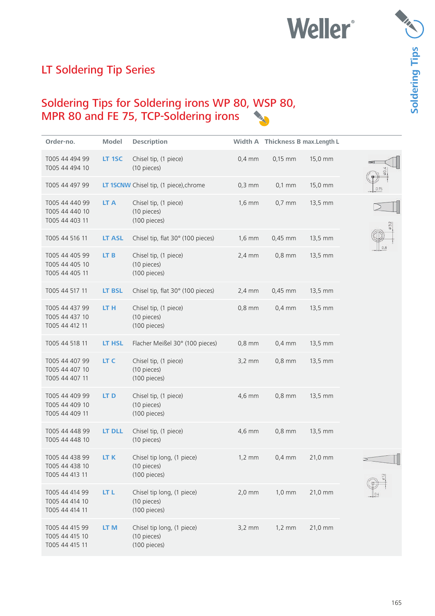# **Weller**\*

# Soldering Tips ( **Soldering Tips**

## LT Soldering Tip Series

### Soldering Tips for Soldering irons WP 80, WSP 80, MPR 80 and FE 75, TCP-Soldering irons

| Order-no.                                          | Model           | <b>Description</b>                                        |                  | Width A Thickness B max. Length L |         |      |
|----------------------------------------------------|-----------------|-----------------------------------------------------------|------------------|-----------------------------------|---------|------|
| T005 44 494 99<br>T005 44 494 10                   | LT 1SC          | Chisel tip, (1 piece)<br>(10 pieces)                      | $0,4$ mm         | $0,15$ mm                         | 15,0 mm |      |
| T005 44 497 99                                     |                 | LT 1SCNW Chisel tip, (1 piece), chrome                    | $0,3$ mm         | $0,1$ mm                          | 15,0 mm | 0,15 |
| T005 44 440 99<br>T005 44 440 10<br>T005 44 403 11 | LT A            | Chisel tip, (1 piece)<br>(10 pieces)<br>(100 pieces)      | $1,6$ mm         | $0,7$ mm                          | 13,5 mm |      |
| T005 44 516 11                                     | <b>LT ASL</b>   | Chisel tip, flat 30° (100 pieces)                         | $1,6 \text{ mm}$ | $0,45$ mm                         | 13,5 mm |      |
| T005 44 405 99<br>T005 44 405 10<br>T005 44 405 11 | LT B            | Chisel tip, (1 piece)<br>(10 pieces)<br>(100 pieces)      | $2,4$ mm         | $0,8$ mm                          | 13,5 mm |      |
| T005 44 517 11                                     | <b>LT BSL</b>   | Chisel tip, flat 30° (100 pieces)                         | $2,4 \text{ mm}$ | $0,45$ mm                         | 13,5 mm |      |
| T005 44 437 99<br>T005 44 437 10<br>T005 44 412 11 | LT H            | Chisel tip, (1 piece)<br>(10 pieces)<br>(100 pieces)      | $0,8$ mm         | $0,4$ mm                          | 13,5 mm |      |
| T005 44 518 11                                     | LT HSL          | Flacher Meißel 30° (100 pieces)                           | $0,8$ mm         | $0,4$ mm                          | 13,5 mm |      |
| T005 44 407 99<br>T005 44 407 10<br>T005 44 407 11 | LT C            | Chisel tip, (1 piece)<br>(10 pieces)<br>(100 pieces)      | $3,2 \text{ mm}$ | $0,8$ mm                          | 13,5 mm |      |
| T005 44 409 99<br>T005 44 409 10<br>T005 44 409 11 | LT <sub>D</sub> | Chisel tip, (1 piece)<br>(10 pieces)<br>(100 pieces)      | 4,6 mm           | $0,8$ mm                          | 13,5 mm |      |
| T005 44 448 99<br>T005 44 448 10                   | <b>LT DLL</b>   | Chisel tip, (1 piece)<br>(10 pieces)                      | 4,6 mm           | $0,8$ mm                          | 13,5 mm |      |
| T005 44 438 99<br>T005 44 438 10<br>T005 44 413 11 | LT K            | Chisel tip long, (1 piece)<br>(10 pieces)<br>(100 pieces) | $1,2 \text{ mm}$ | $0,4$ mm                          | 21,0 mm |      |
| T005 44 414 99<br>T005 44 414 10<br>T005 44 414 11 | LT L            | Chisel tip long, (1 piece)<br>(10 pieces)<br>(100 pieces) | $2,0$ mm         | $1,0 \text{ mm}$                  | 21,0 mm |      |
| T005 44 415 99<br>T005 44 415 10<br>T005 44 415 11 | LT <sub>M</sub> | Chisel tip long, (1 piece)<br>(10 pieces)<br>(100 pieces) | $3,2$ mm         | $1,2 \text{ mm}$                  | 21,0 mm |      |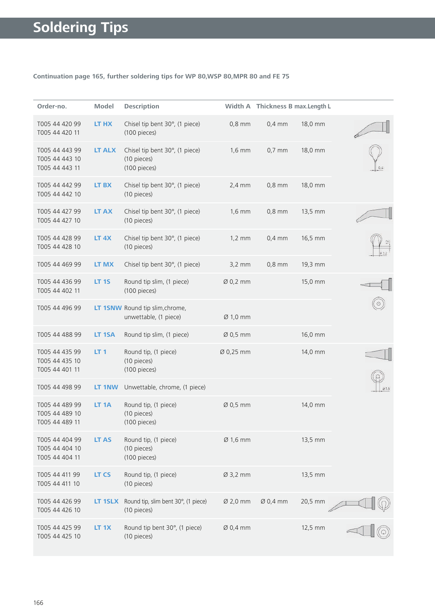### **Continuation page 165, further soldering tips for WP 80,WSP 80,MPR 80 and FE 75**

| Order-no.                                          | Model            | <b>Description</b>                                            |                      | Width A Thickness B max. Length L |         |     |
|----------------------------------------------------|------------------|---------------------------------------------------------------|----------------------|-----------------------------------|---------|-----|
| T005 44 420 99<br>T005 44 420 11                   | LT HX            | Chisel tip bent 30°, (1 piece)<br>(100 pieces)                | $0,8$ mm             | $0,4$ mm                          | 18,0 mm |     |
| T005 44 443 99<br>T005 44 443 10<br>T005 44 443 11 | <b>LT ALX</b>    | Chisel tip bent 30°, (1 piece)<br>(10 pieces)<br>(100 pieces) | $1,6$ mm             | $0,7$ mm                          | 18,0 mm |     |
| T005 44 442 99<br>T005 44 442 10                   | LT BX            | Chisel tip bent 30°, (1 piece)<br>(10 pieces)                 | $2,4$ mm             | $0,8$ mm                          | 18,0 mm |     |
| T005 44 427 99<br>T005 44 427 10                   | <b>LT AX</b>     | Chisel tip bent 30°, (1 piece)<br>(10 pieces)                 | $1,6$ mm             | $0,8$ mm                          | 13,5 mm |     |
| T005 44 428 99<br>T005 44 428 10                   | LT <sub>4X</sub> | Chisel tip bent 30°, (1 piece)<br>(10 pieces)                 | $1,2 \text{ mm}$     | $0,4$ mm                          | 16,5 mm |     |
| T005 44 469 99                                     | LT MX            | Chisel tip bent 30°, (1 piece)                                | $3,2$ mm             | $0,8$ mm                          | 19,3 mm |     |
| T005 44 436 99<br>T005 44 402 11                   | <b>LT 1S</b>     | Round tip slim, (1 piece)<br>(100 pieces)                     | Ø 0,2 mm             |                                   | 15,0 mm |     |
| T005 44 496 99                                     |                  | LT 1SNW Round tip slim, chrome,<br>unwettable, (1 piece)      | $Ø$ 1,0 mm           |                                   |         |     |
| T005 44 488 99                                     | LT 1SA           | Round tip slim, (1 piece)                                     | $\varnothing$ 0,5 mm |                                   | 16,0 mm |     |
| T005 44 435 99<br>T005 44 435 10<br>T005 44 401 11 | LT <sub>1</sub>  | Round tip, (1 piece)<br>(10 pieces)<br>(100 pieces)           | Ø 0,25 mm            |                                   | 14,0 mm |     |
| T005 44 498 99                                     | LT 1NW           | Unwettable, chrome, (1 piece)                                 |                      |                                   |         | 016 |
| T005 44 489 99<br>T005 44 489 10<br>T005 44 489 11 | LT <sub>1A</sub> | Round tip, (1 piece)<br>(10 pieces)<br>(100 pieces)           | Ø 0,5 mm             |                                   | 14,0 mm |     |
| T005 44 404 99<br>T005 44 404 10<br>T005 44 404 11 | LT AS            | Round tip, (1 piece)<br>(10 pieces)<br>(100 pieces)           | $Ø$ 1,6 mm           |                                   | 13,5 mm |     |
| T005 44 411 99<br>T005 44 411 10                   | <b>LT CS</b>     | Round tip, (1 piece)<br>(10 pieces)                           | Ø 3,2 mm             |                                   | 13,5 mm |     |
| T005 44 426 99<br>T005 44 426 10                   | LT 1SLX          | Round tip, slim bent 30°, (1 piece)<br>(10 pieces)            | Ø 2,0 mm             | $\varnothing$ 0,4 mm              | 20,5 mm |     |
| T005 44 425 99<br>T005 44 425 10                   | LT <sub>1X</sub> | Round tip bent 30°, (1 piece)<br>(10 pieces)                  | Ø 0,4 mm             |                                   | 12,5 mm |     |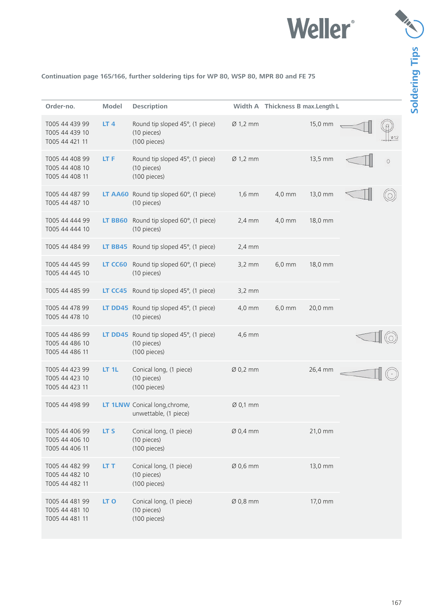

#### **Continuation page 165/166, further soldering tips for WP 80, WSP 80, MPR 80 and FE 75**

| Order-no.                                          | <b>Model</b>    | <b>Description</b>                                             |                      | Width A Thickness B max. Length L |         |
|----------------------------------------------------|-----------------|----------------------------------------------------------------|----------------------|-----------------------------------|---------|
| T005 44 439 99<br>T005 44 439 10<br>T005 44 421 11 | LT <sub>4</sub> | Round tip sloped 45°, (1 piece)<br>(10 pieces)<br>(100 pieces) | $\varnothing$ 1,2 mm | 15,0 mm                           | 0.12    |
| T005 44 408 99<br>T005 44 408 10<br>T005 44 408 11 | LT F            | Round tip sloped 45°, (1 piece)<br>(10 pieces)<br>(100 pieces) | $Ø$ 1,2 mm           | 13,5 mm                           | $\circ$ |
| T005 44 487 99<br>T005 44 487 10                   |                 | LT AA60 Round tip sloped 60°, (1 piece)<br>(10 pieces)         | $1,6$ mm             | 4,0 mm<br>13,0 mm                 |         |
| T005 44 444 99<br>T005 44 444 10                   | LT BB60         | Round tip sloped 60°, (1 piece)<br>(10 pieces)                 | $2,4$ mm             | $4,0$ mm<br>18,0 mm               |         |
| T005 44 484 99                                     | <b>LT BB45</b>  | Round tip sloped 45°, (1 piece)                                | $2,4$ mm             |                                   |         |
| T005 44 445 99<br>T005 44 445 10                   | LT CC60         | Round tip sloped 60°, (1 piece)<br>(10 pieces)                 | $3,2$ mm             | $6,0$ mm<br>18,0 mm               |         |
| T005 44 485 99                                     | LT CC45         | Round tip sloped 45°, (1 piece)                                | $3,2$ mm             |                                   |         |
| T005 44 478 99<br>T005 44 478 10                   |                 | LT DD45 Round tip sloped 45°, (1 piece)<br>(10 pieces)         | 4,0 mm               | $6,0$ mm<br>20,0 mm               |         |
| T005 44 486 99<br>T005 44 486 10<br>T005 44 486 11 | LT DD45         | Round tip sloped 45°, (1 piece)<br>(10 pieces)<br>(100 pieces) | 4,6 mm               |                                   |         |
| T005 44 423 99<br>T005 44 423 10<br>T005 44 423 11 | LT 1L           | Conical long, (1 piece)<br>(10 pieces)<br>(100 pieces)         | $\varnothing$ 0,2 mm | 26,4 mm                           |         |
| T005 44 498 99                                     |                 | LT 1LNW Conical long, chrome,<br>unwettable, (1 piece)         | Ø 0,1 mm             |                                   |         |
| T005 44 406 99<br>T005 44 406 10<br>T005 44 406 11 | LT S            | Conical long, (1 piece)<br>(10 pieces)<br>(100 pieces)         | Ø 0,4 mm             | 21,0 mm                           |         |
| T005 44 482 99<br>T005 44 482 10<br>T005 44 482 11 | LT T            | Conical long, (1 piece)<br>(10 pieces)<br>(100 pieces)         | Ø 0,6 mm             | 13,0 mm                           |         |
| T005 44 481 99<br>T005 44 481 10<br>T005 44 481 11 | LT <sub>O</sub> | Conical long, (1 piece)<br>(10 pieces)<br>(100 pieces)         | $Ø$ 0,8 mm           | 17,0 mm                           |         |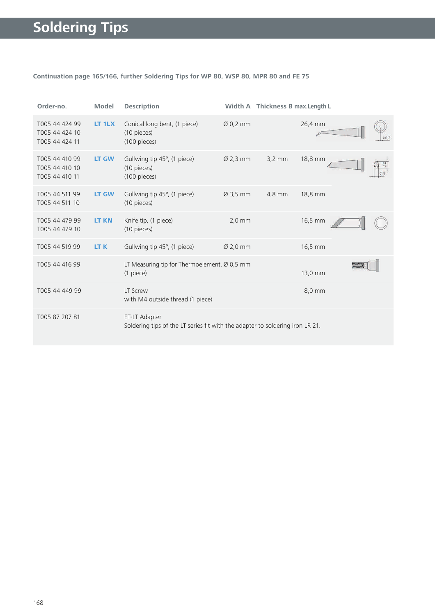#### **Continuation page 165/166, further Soldering Tips for WP 80, WSP 80, MPR 80 and FE 75**

| Order-no.                                          | <b>Model</b> | <b>Description</b>                                                                             |                      | Width A Thickness B max. Length L |         |  |
|----------------------------------------------------|--------------|------------------------------------------------------------------------------------------------|----------------------|-----------------------------------|---------|--|
| T005 44 424 99<br>T005 44 424 10<br>T005 44 424 11 | LT 1LX       | Conical long bent, (1 piece)<br>(10 pieces)<br>(100 pieces)                                    | $\varnothing$ 0,2 mm |                                   | 26,4 mm |  |
| T005 44 410 99<br>T005 44 410 10<br>T005 44 410 11 | <b>LT GW</b> | Gullwing tip 45°, (1 piece)<br>(10 pieces)<br>(100 pieces)                                     | $Ø$ 2,3 mm           | $3.2 \, \text{mm}$                | 18,8 mm |  |
| T005 44 511 99<br>T005 44 511 10                   | <b>LT GW</b> | Gullwing tip 45°, (1 piece)<br>(10 pieces)                                                     | $Ø$ 3,5 mm           | 4,8 mm                            | 18,8 mm |  |
| T005 44 479 99<br>T005 44 479 10                   | <b>LT KN</b> | Knife tip, (1 piece)<br>(10 pieces)                                                            | $2,0$ mm             |                                   | 16,5 mm |  |
| T005 44 519 99                                     | LT K         | Gullwing tip 45°, (1 piece)                                                                    | $Ø$ 2,0 mm           |                                   | 16,5 mm |  |
| T005 44 416 99                                     |              | LT Measuring tip for Thermoelement, Ø 0,5 mm<br>(1 piece)                                      |                      |                                   | 13,0 mm |  |
| T005 44 449 99                                     |              | LT Screw<br>with M4 outside thread (1 piece)                                                   |                      |                                   | 8,0 mm  |  |
| T005 87 207 81                                     |              | ET-LT Adapter<br>Soldering tips of the LT series fit with the adapter to soldering iron LR 21. |                      |                                   |         |  |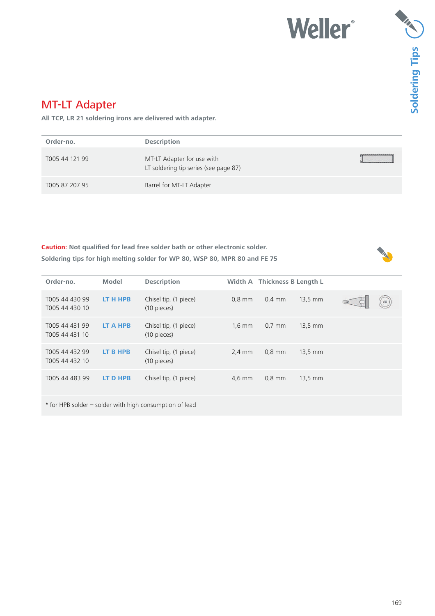# **Weller**\*

### MT-LT Adapter

**All TCP, LR 21 soldering irons are delivered with adapter.**

| Order-no.      | <b>Description</b>                                                  |  |
|----------------|---------------------------------------------------------------------|--|
| T005 44 121 99 | MT-LT Adapter for use with<br>LT soldering tip series (see page 87) |  |
| T005 87 207 95 | Barrel for MT-LT Adapter                                            |  |

**Caution: Not qualified for lead free solder bath or other electronic solder. Soldering tips for high melting solder for WP 80, WSP 80, MPR 80 and FE 75**

| Order-no.                        | <b>Model</b> | <b>Description</b>                                      |          | Width A Thickness B Length L |                   |  |  |
|----------------------------------|--------------|---------------------------------------------------------|----------|------------------------------|-------------------|--|--|
| T005 44 430 99<br>T005 44 430 10 | LT H HPB     | Chisel tip, (1 piece)<br>(10 pieces)                    | $0.8$ mm | $0.4$ mm                     | $13.5$ mm         |  |  |
| T005 44 431 99<br>T005 44 431 10 | LT A HPB     | Chisel tip, (1 piece)<br>(10 pieces)                    | $1,6$ mm | $0.7$ mm                     | $13.5 \text{ mm}$ |  |  |
| T005 44 432 99<br>T005 44 432 10 | LT B HPB     | Chisel tip, (1 piece)<br>(10 pieces)                    | $2,4$ mm | $0.8$ mm                     | $13.5$ mm         |  |  |
| T005 44 483 99                   | LT D HPB     | Chisel tip, (1 piece)                                   | $4,6$ mm | $0.8$ mm                     | $13.5 \text{ mm}$ |  |  |
|                                  |              | * for HPB solder = solder with high consumption of lead |          |                              |                   |  |  |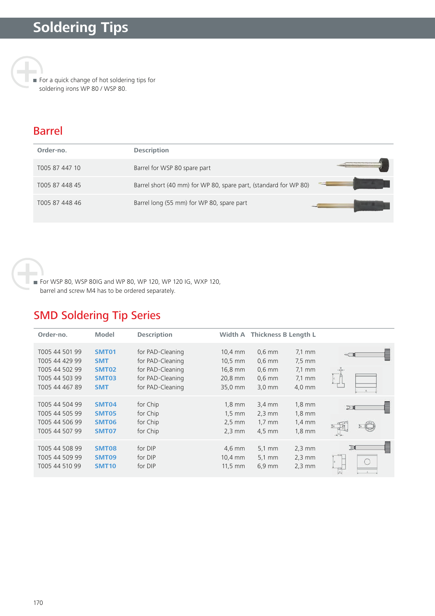For a quick change of hot soldering tips for soldering irons WP 80 / WSP 80.

### Barrel

| Order-no.      | <b>Description</b>                                               |  |
|----------------|------------------------------------------------------------------|--|
| T005 87 447 10 | Barrel for WSP 80 spare part                                     |  |
| T005 87 448 45 | Barrel short (40 mm) for WP 80, spare part, (standard for WP 80) |  |
| T005 87 448 46 | Barrel long (55 mm) for WP 80, spare part                        |  |

 For WSP 80, WSP 80IG and WP 80, WP 120, WP 120 IG, WXP 120, barrel and screw M4 has to be ordered separately.

### SMD Soldering Tip Series

| Order-no.                                                                              | <b>Model</b>                                                             | <b>Description</b>                                                                               |                                                                              | Width A Thickness B Length L                                     |                                                                                  |           |  |
|----------------------------------------------------------------------------------------|--------------------------------------------------------------------------|--------------------------------------------------------------------------------------------------|------------------------------------------------------------------------------|------------------------------------------------------------------|----------------------------------------------------------------------------------|-----------|--|
| T005 44 501 99<br>T005 44 429 99<br>T005 44 502 99<br>T005 44 503 99<br>T005 44 467 89 | <b>SMT01</b><br><b>SMT</b><br><b>SMT02</b><br><b>SMT03</b><br><b>SMT</b> | for PAD-Cleaning<br>for PAD-Cleaning<br>for PAD-Cleaning<br>for PAD-Cleaning<br>for PAD-Cleaning | $10.4$ mm<br>$10.5$ mm<br>16,8 mm<br>20,8 mm<br>35,0 mm                      | $0.6$ mm<br>$0.6$ mm<br>$0.6$ mm<br>$0.6$ mm<br>$3.0 \text{ mm}$ | $7.1 \text{ mm}$<br>$7.5$ mm<br>$7.1 \text{ mm}$<br>$7.1 \text{ mm}$<br>$4.0$ mm |           |  |
| T005 44 504 99<br>T005 44 505 99<br>T005 44 506 99<br>T005 44 507 99                   | <b>SMT04</b><br><b>SMT05</b><br><b>SMT06</b><br>SMT07                    | for Chip<br>for Chip<br>for Chip<br>for Chip                                                     | $1,8 \text{ mm}$<br>$1.5 \text{ mm}$<br>$2.5 \text{ mm}$<br>$2,3 \text{ mm}$ | $3.4 \text{ mm}$<br>$2,3$ mm<br>$1,7 \text{ mm}$<br>$4.5$ mm     | $1,8 \text{ mm}$<br>$1,8$ mm<br>$1.4 \text{ mm}$<br>$1,8$ mm                     | DN        |  |
| T005 44 508 99<br>T005 44 509 99<br>T005 44 510 99                                     | <b>SMT08</b><br><b>SMT09</b><br><b>SMT10</b>                             | for DIP<br>for DIP<br>for DIP                                                                    | $4,6$ mm<br>10,4 mm<br>$11.5$ mm                                             | $5.1 \, \text{mm}$<br>$5.1 \text{ mm}$<br>$6.9$ mm               | $2,3$ mm<br>$2,3$ mm<br>$2,3$ mm                                                 | <b>JM</b> |  |